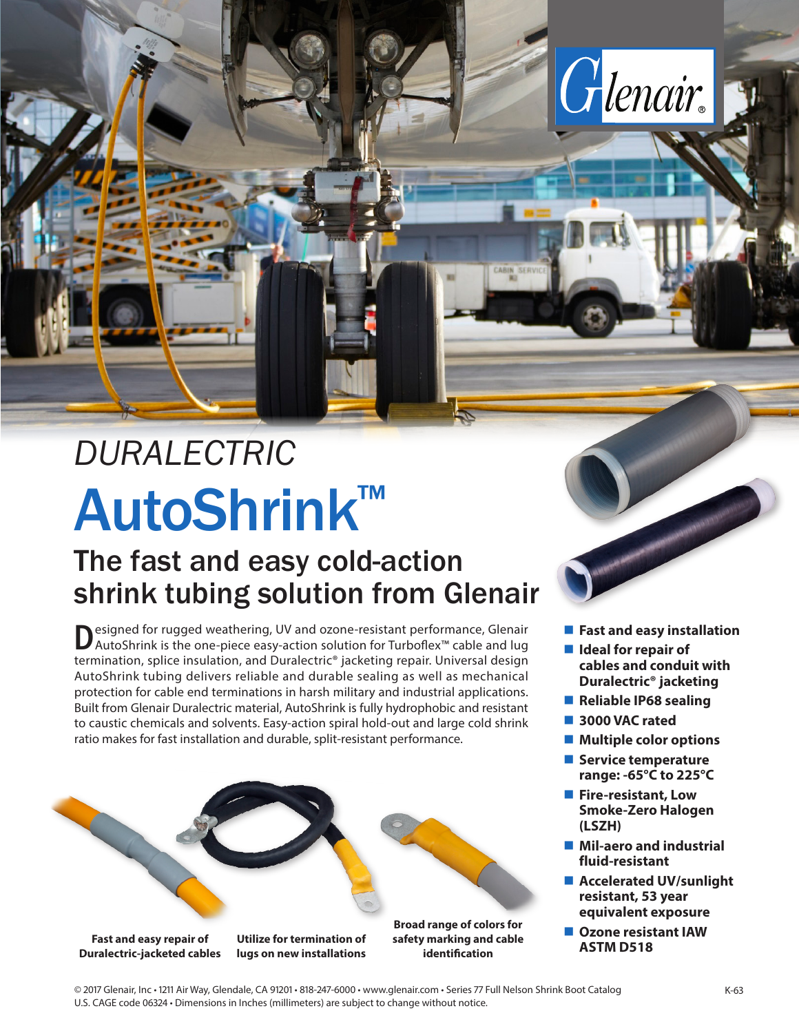# AutoShrink™ *DURALECTRIC*

## The fast and easy cold-action shrink tubing solution from Glenair

**Designed for rugged weathering, UV and ozone-resistant performance, Glenair** AutoShrink is the one-piece easy-action solution for Turboflex™ cable and lug termination, splice insulation, and Duralectric® jacketing repair. Universal design AutoShrink tubing delivers reliable and durable sealing as well as mechanical protection for cable end terminations in harsh military and industrial applications. Built from Glenair Duralectric material, AutoShrink is fully hydrophobic and resistant to caustic chemicals and solvents. Easy-action spiral hold-out and large cold shrink ratio makes for fast installation and durable, split-resistant performance.



**Fast and easy installation** 

Glenair.

- Ideal for repair of **cables and conduit with Duralectric® jacketing**
- Reliable IP68 sealing
- **3000 VAC rated**
- Multiple color options
- **Service temperature range: -65°C to 225°C**
- **Fire-resistant, Low Smoke-Zero Halogen (LSZH)**
- Mil-aero and industrial **fluid-resistant**
- Accelerated UV/sunlight **resistant, 53 year equivalent exposure**
- **Ozone resistant IAW ASTM D518**